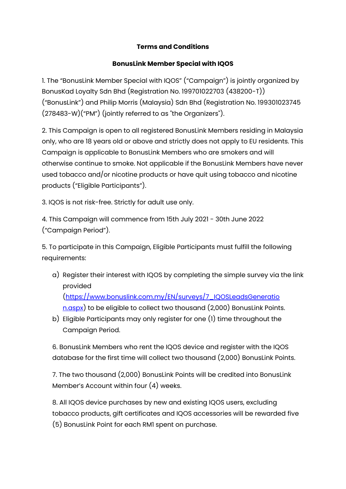## **Terms and Conditions**

## **BonusLink Member Special with IQOS**

1. The "BonusLink Member Special with IQOS" ("Campaign") is jointly organized by BonusKad Loyalty Sdn Bhd (Registration No. 199701022703 (438200-T)) ("BonusLink") and Philip Morris (Malaysia) Sdn Bhd (Registration No. 199301023745 (278483-W)("PM") (jointly referred to as "the Organizers").

2. This Campaign is open to all registered BonusLink Members residing in Malaysia only, who are 18 years old or above and strictly does not apply to EU residents. This Campaign is applicable to BonusLink Members who are smokers and will otherwise continue to smoke. Not applicable if the BonusLink Members have never used tobacco and/or nicotine products or have quit using tobacco and nicotine products ("Eligible Participants").

3. IQOS is not risk-free. Strictly for adult use only.

4. This Campaign will commence from 15th July 2021 - 30th June 2022 ("Campaign Period").

5. To participate in this Campaign, Eligible Participants must fulfill the following requirements:

- a) Register their interest with IQOS by completing the simple survey via the link provided [\(https://www.bonuslink.com.my/EN/surveys/7\\_IQOSLeadsGeneratio](https://www.bonuslink.com.my/EN/surveys/7_IQOSLeadsGeneratio%20n.aspx)  [n.aspx\)](https://www.bonuslink.com.my/EN/surveys/7_IQOSLeadsGeneratio%20n.aspx) to be eligible to collect two thousand (2,000) BonusLink Points.
- b) Eligible Participants may only register for one (1) time throughout the Campaign Period.

6. BonusLink Members who rent the IQOS device and register with the IQOS database for the first time will collect two thousand (2,000) BonusLink Points.

7. The two thousand (2,000) BonusLink Points will be credited into BonusLink Member's Account within four (4) weeks.

8. All IQOS device purchases by new and existing IQOS users, excluding tobacco products, gift certificates and IQOS accessories will be rewarded five (5) BonusLink Point for each RM1 spent on purchase.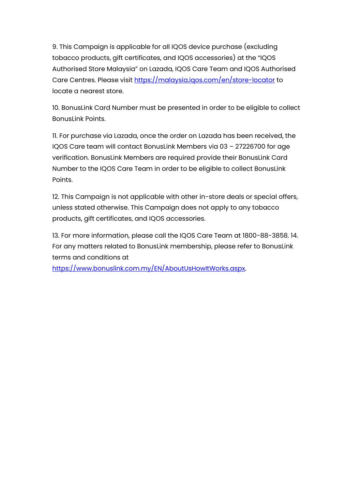9. This Campaign is applicable for all IQOS device purchase (excluding tobacco products, gift certificates, and IQOS accessories) at the "IQOS Authorised Store Malaysia" on Lazada, IQOS Care Team and IQOS Authorised Care Centres. Please visit<https://malaysia.iqos.com/en/store-locator> to locate a nearest store.

10. BonusLink Card Number must be presented in order to be eligible to collect BonusLink Points.

11. For purchase via Lazada, once the order on Lazada has been received, the IQOS Care team will contact BonusLink Members via 03 – 27226700 for age verification. BonusLink Members are required provide their BonusLink Card Number to the IQOS Care Team in order to be eligible to collect BonusLink Points.

12. This Campaign is not applicable with other in-store deals or special offers, unless stated otherwise. This Campaign does not apply to any tobacco products, gift certificates, and IQOS accessories.

13. For more information, please call the IQOS Care Team at 1800-88-3858. 14. For any matters related to BonusLink membership, please refer to BonusLink terms and conditions at

[https://www.bonuslink.com.my/EN/AboutUsHowItWorks.aspx.](https://www.bonuslink.com.my/EN/AboutUsHowItWorks.aspx)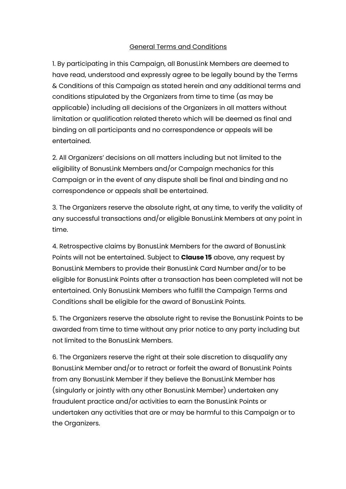## General Terms and Conditions

1. By participating in this Campaign, all BonusLink Members are deemed to have read, understood and expressly agree to be legally bound by the Terms & Conditions of this Campaign as stated herein and any additional terms and conditions stipulated by the Organizers from time to time (as may be applicable) including all decisions of the Organizers in all matters without limitation or qualification related thereto which will be deemed as final and binding on all participants and no correspondence or appeals will be entertained.

2. All Organizers' decisions on all matters including but not limited to the eligibility of BonusLink Members and/or Campaign mechanics for this Campaign or in the event of any dispute shall be final and binding and no correspondence or appeals shall be entertained.

3. The Organizers reserve the absolute right, at any time, to verify the validity of any successful transactions and/or eligible BonusLink Members at any point in time.

4. Retrospective claims by BonusLink Members for the award of BonusLink Points will not be entertained. Subject to **Clause 15** above, any request by BonusLink Members to provide their BonusLink Card Number and/or to be eligible for BonusLink Points after a transaction has been completed will not be entertained. Only BonusLink Members who fulfill the Campaign Terms and Conditions shall be eligible for the award of BonusLink Points.

5. The Organizers reserve the absolute right to revise the BonusLink Points to be awarded from time to time without any prior notice to any party including but not limited to the BonusLink Members.

6. The Organizers reserve the right at their sole discretion to disqualify any BonusLink Member and/or to retract or forfeit the award of BonusLink Points from any BonusLink Member if they believe the BonusLink Member has (singularly or jointly with any other BonusLink Member) undertaken any fraudulent practice and/or activities to earn the BonusLink Points or undertaken any activities that are or may be harmful to this Campaign or to the Organizers.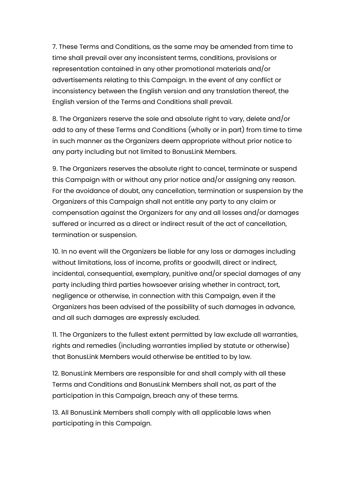7. These Terms and Conditions, as the same may be amended from time to time shall prevail over any inconsistent terms, conditions, provisions or representation contained in any other promotional materials and/or advertisements relating to this Campaign. In the event of any conflict or inconsistency between the English version and any translation thereof, the English version of the Terms and Conditions shall prevail.

8. The Organizers reserve the sole and absolute right to vary, delete and/or add to any of these Terms and Conditions (wholly or in part) from time to time in such manner as the Organizers deem appropriate without prior notice to any party including but not limited to BonusLink Members.

9. The Organizers reserves the absolute right to cancel, terminate or suspend this Campaign with or without any prior notice and/or assigning any reason. For the avoidance of doubt, any cancellation, termination or suspension by the Organizers of this Campaign shall not entitle any party to any claim or compensation against the Organizers for any and all losses and/or damages suffered or incurred as a direct or indirect result of the act of cancellation, termination or suspension.

10. In no event will the Organizers be liable for any loss or damages including without limitations, loss of income, profits or goodwill, direct or indirect, incidental, consequential, exemplary, punitive and/or special damages of any party including third parties howsoever arising whether in contract, tort, negligence or otherwise, in connection with this Campaign, even if the Organizers has been advised of the possibility of such damages in advance, and all such damages are expressly excluded.

11. The Organizers to the fullest extent permitted by law exclude all warranties, rights and remedies (including warranties implied by statute or otherwise) that BonusLink Members would otherwise be entitled to by law.

12. BonusLink Members are responsible for and shall comply with all these Terms and Conditions and BonusLink Members shall not, as part of the participation in this Campaign, breach any of these terms.

13. All BonusLink Members shall comply with all applicable laws when participating in this Campaign.